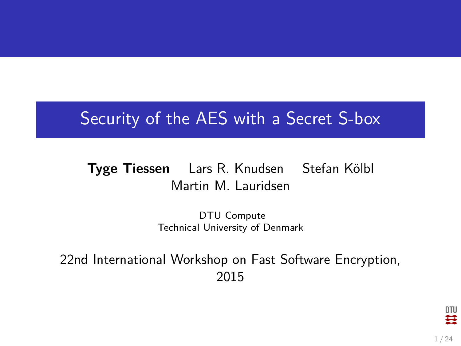### Security of the AES with a Secret S-box

### **Tyge Tiessen** Lars R. Knudsen Stefan Kölbl Martin M. Lauridsen

DTU Compute Technical University of Denmark

22nd International Workshop on Fast Software Encryption, 2015

DTU Ħ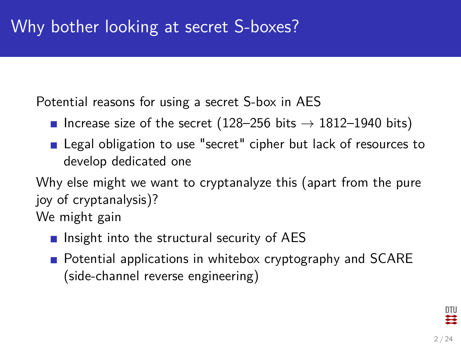Potential reasons for using a secret S-box in AES

- Increase size of the secret (128–256 bits  $\rightarrow$  1812–1940 bits)
- **E** Legal obligation to use "secret" cipher but lack of resources to develop dedicated one

Why else might we want to cryptanalyze this (apart from the pure joy of cryptanalysis)? We might gain

- **Insight into the structural security of AES**
- **Potential applications in whitebox cryptography and SCARE** (side-channel reverse engineering)

DTU ≈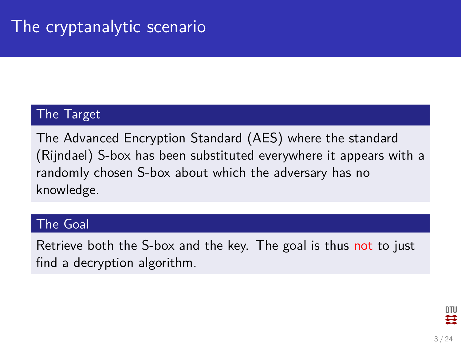### The Target

The Advanced Encryption Standard (AES) where the standard (Rijndael) S-box has been substituted everywhere it appears with a randomly chosen S-box about which the adversary has no knowledge.

#### The Goal

Retrieve both the S-box and the key. The goal is thus not to just find a decryption algorithm.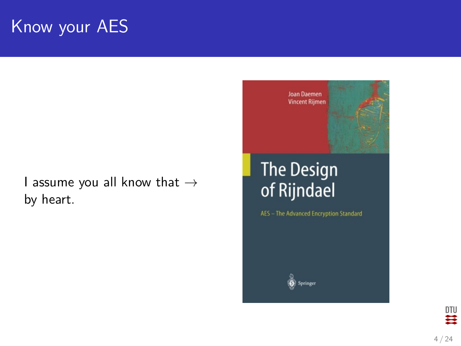## Know your AES

I assume you all know that  $\rightarrow$ by heart.



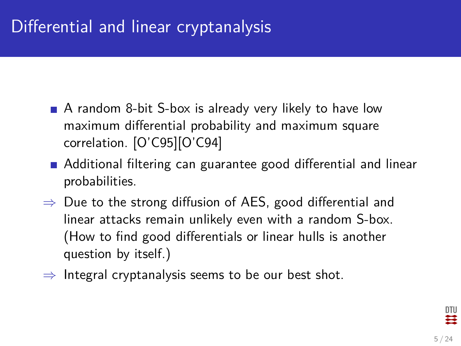## Differential and linear cryptanalysis

- A random 8-bit S-box is already very likely to have low maximum differential probability and maximum square correlation. [\[O'C95\]](#page-25-0)[\[O'C94\]](#page-25-1)
- **Additional filtering can guarantee good differential and linear** probabilities.
- $\Rightarrow$  Due to the strong diffusion of AES, good differential and linear attacks remain unlikely even with a random S-box. (How to find good differentials or linear hulls is another question by itself.)
- $\Rightarrow$  Integral cryptanalysis seems to be our best shot.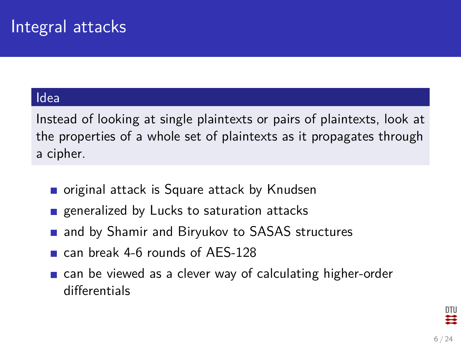#### Idea

Instead of looking at single plaintexts or pairs of plaintexts, look at the properties of a whole set of plaintexts as it propagates through a cipher.

- original attack is Square attack by Knudsen
- **E** generalized by Lucks to saturation attacks
- **n** and by Shamir and Biryukov to SASAS structures
- can break 4-6 rounds of AES-128
- **E** can be viewed as a clever way of calculating higher-order differentials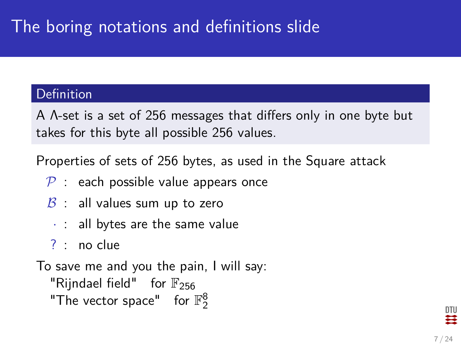## The boring notations and definitions slide

#### Definition

A Λ-set is a set of 256 messages that differs only in one byte but takes for this byte all possible 256 values.

Properties of sets of 256 bytes, as used in the Square attack

- $P$  : each possible value appears once
- $\beta$  : all values sum up to zero
	- $\cdot$  : all bytes are the same value
- ? : no clue

To save me and you the pain, I will say: "Rijndael field" for  $\mathbb{F}_{256}$ "The vector space" for  $\mathbb{F}_2^8$ 

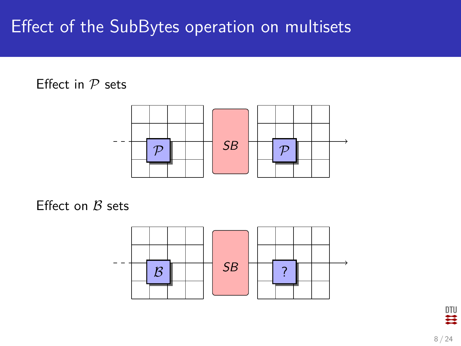## Effect of the SubBytes operation on multisets

### Effect in  $P$  sets



Effect on  $B$  sets

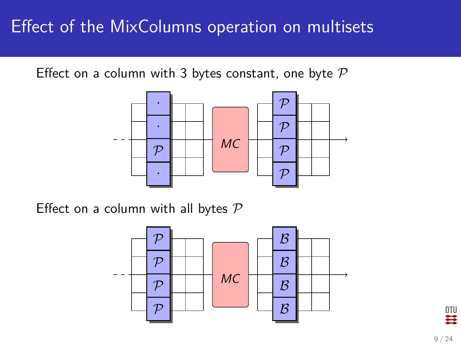## Effect of the MixColumns operation on multisets

Effect on a column with 3 bytes constant, one byte  $P$ 



Effect on a column with all bytes  $P$ 



DTU Ħ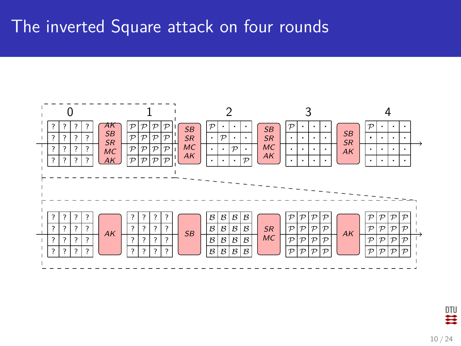### The inverted Square attack on four rounds



四章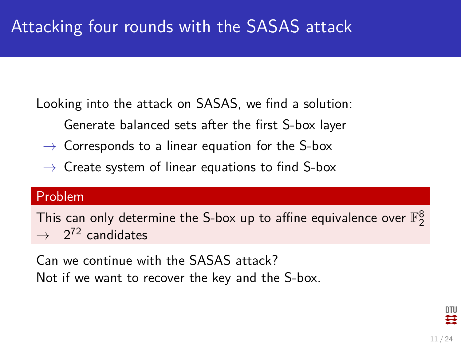Looking into the attack on SASAS, we find a solution:

- Generate balanced sets after the first S-box layer
- $\rightarrow$  Corresponds to a linear equation for the S-box
- $\rightarrow$  Create system of linear equations to find S-box

#### Problem

This can only determine the S-box up to affine equivalence over  $\mathbb{F}_2^8$  $\rightarrow$  2<sup>72</sup> candidates

Can we continue with the SASAS attack? Not if we want to recover the key and the S-box.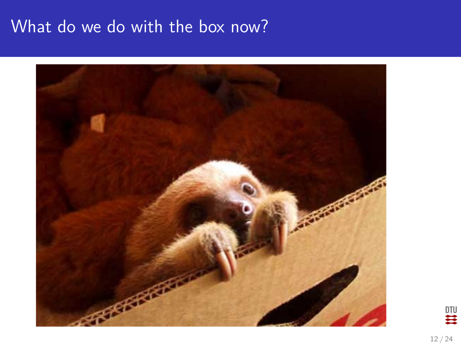### What do we do with the box now?



 $\begin{matrix} 010 \\ 44 \end{matrix}$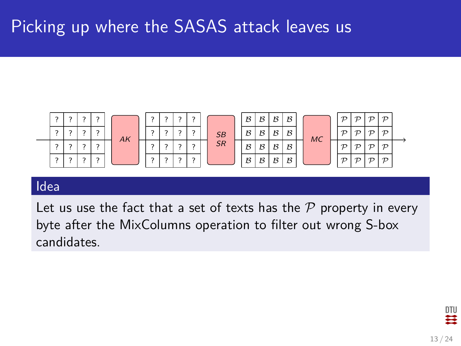## Picking up where the SASAS attack leaves us



#### Idea

Let us use the fact that a set of texts has the  $P$  property in every byte after the MixColumns operation to filter out wrong S-box candidates.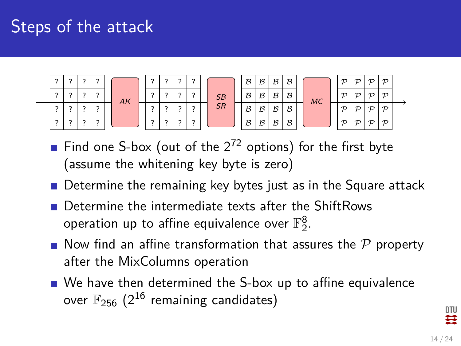## Steps of the attack



- Find one S-box (out of the  $2^{72}$  options) for the first byte (assume the whitening key byte is zero)
- Determine the remaining key bytes just as in the Square attack
- Determine the intermediate texts after the ShiftRows operation up to affine equivalence over  $\mathbb{F}_2^8.$
- Now find an affine transformation that assures the  $P$  property after the MixColumns operation
- We have then determined the S-box up to affine equivalence over  $\mathbb{F}_{256}$  (2<sup>16</sup> remaining candidates)

DTU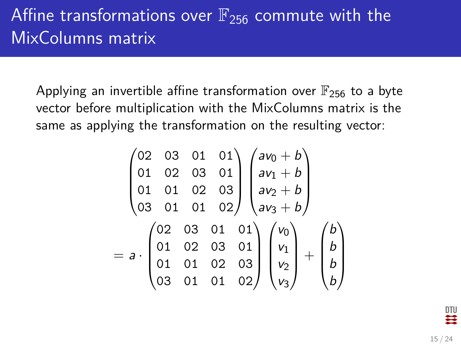## Affine transformations over  $\mathbb{F}_{256}$  commute with the MixColumns matrix

Applying an invertible affine transformation over  $\mathbb{F}_{256}$  to a byte vector before multiplication with the MixColumns matrix is the same as applying the transformation on the resulting vector:

$$
\begin{pmatrix}\n02 & 03 & 01 & 01 \\
01 & 02 & 03 & 01 \\
01 & 01 & 02 & 03 \\
03 & 01 & 01 & 02\n\end{pmatrix}\n\begin{pmatrix}\na\nu_0 + b \\
a\nu_1 + b \\
a\nu_2 + b \\
a\nu_3 + b\n\end{pmatrix}
$$
\n
$$
= a \cdot \begin{pmatrix}\n02 & 03 & 01 & 01 \\
01 & 02 & 03 & 01 \\
01 & 01 & 02 & 03 \\
03 & 01 & 01 & 02\n\end{pmatrix}\n\begin{pmatrix}\nv_0 \\
v_1 \\
v_2 \\
v_3\n\end{pmatrix} + \begin{pmatrix}\nb \\
b \\
b \\
b\n\end{pmatrix}
$$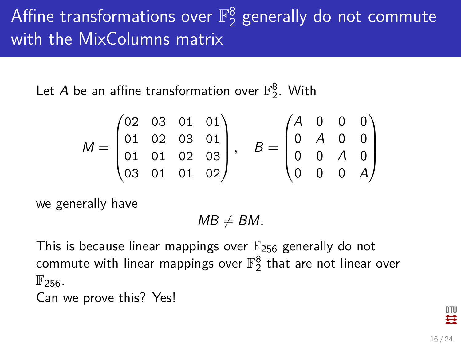#### Affine transformations over  $\mathbb{F}_2^8$  $_2^8$  generally do not commute with the MixColumns matrix

Let  $A$  be an affine transformation over  $\mathbb{F}_2^8$ . With

$$
M = \begin{pmatrix} 02 & 03 & 01 & 01 \\ 01 & 02 & 03 & 01 \\ 01 & 01 & 02 & 03 \\ 03 & 01 & 01 & 02 \end{pmatrix}, \quad B = \begin{pmatrix} A & 0 & 0 & 0 \\ 0 & A & 0 & 0 \\ 0 & 0 & A & 0 \\ 0 & 0 & 0 & A \end{pmatrix}
$$

we generally have

 $MB \neq BM$ .

This is because linear mappings over  $\mathbb{F}_{256}$  generally do not commute with linear mappings over  $\mathbb{F}_2^8$  that are not linear over  $\mathbb{F}_{256}$ .

Can we prove this? Yes!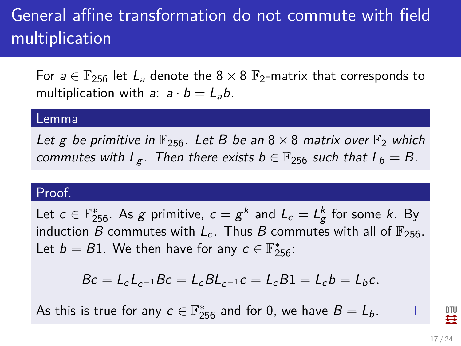# General affine transformation do not commute with field multiplication

For  $a \in \mathbb{F}_{256}$  let  $L_a$  denote the  $8 \times 8$   $\mathbb{F}_{2}$ -matrix that corresponds to multiplication with a:  $a \cdot b = L_a b$ .

#### Lemma

Let g be primitive in  $\mathbb{F}_{256}$ . Let B be an  $8 \times 8$  matrix over  $\mathbb{F}_2$  which commutes with  $L_g$ . Then there exists  $b \in \mathbb{F}_{256}$  such that  $L_b = B$ .

#### Proof.

Let  $c\in \mathbb{F}_{256}^*.$  As  $g$  primitive,  $c=g^k$  and  $L_c=L_g^k$  for some  $k.$  By induction B commutes with  $L_c$ . Thus B commutes with all of  $\mathbb{F}_{256}$ . Let  $b = B1$ . We then have for any  $c \in \mathbb{F}_{256}^*$ :

$$
Bc = L_c L_{c^{-1}} Bc = L_c B L_{c^{-1}} c = L_c B1 = L_c b = L_b c.
$$

As this is true for any  $c \in \mathbb{F}_{256}^*$  and for 0, we have  $B=L_b$ .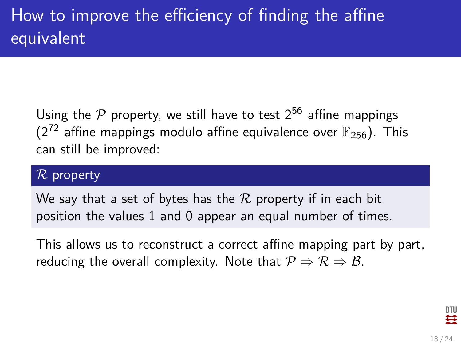Using the P property, we still have to test  $2^{56}$  affine mappings ( $2^{72}$  affine mappings modulo affine equivalence over  $\mathbb{F}_{256}$ ). This can still be improved:

#### $R$  property

We say that a set of bytes has the  $R$  property if in each bit position the values 1 and 0 appear an equal number of times.

This allows us to reconstruct a correct affine mapping part by part, reducing the overall complexity. Note that  $P \Rightarrow R \Rightarrow B$ .

DTU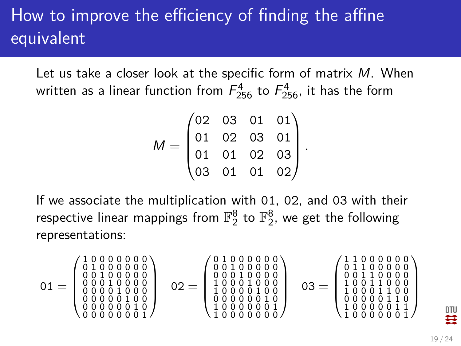# How to improve the efficiency of finding the affine equivalent

Let us take a closer look at the specific form of matrix M. When written as a linear function from  $\mathit{F}^{4}_{256}$  to  $\mathit{F}^{4}_{256}$ , it has the form

$$
M = \begin{pmatrix} 02 & 03 & 01 & 01 \\ 01 & 02 & 03 & 01 \\ 01 & 01 & 02 & 03 \\ 03 & 01 & 01 & 02 \end{pmatrix}.
$$

If we associate the multiplication with 01, 02, and 03 with their respective linear mappings from  $\mathbb{F}_2^8$  to  $\mathbb{F}_2^8$ , we get the following representations:

$$
01=\left(\begin{smallmatrix}1&0&0&0&0&0&0&0&0 \\ 0&1&0&0&0&0&0&0&0 \\ 0&0&1&0&0&0&0&0 \\ 0&0&0&1&0&0&0&0 \\ 0&0&0&0&1&0&0&0 \\ 0&0&0&0&0&0&1&0 \\ 0&0&0&0&0&0&0&1\end{smallmatrix}\right)\quad \ 02=\left(\begin{smallmatrix}0&1&0&0&0&0&0&0 \\ 0&0&1&0&0&0&0&0 \\ 0&0&0&1&0&0&0&0 \\ 1&0&0&0&1&0&0&0 \\ 1&0&0&0&1&0&0&0 \\ 1&0&0&0&0&0&1&0 \\ 0&0&0&0&0&0&1&1\end{smallmatrix}\right)\quad \ 03=\left(\begin{smallmatrix}1&1&0&0&0&0&0&0 \\ 0&1&1&0&0&0&0&0 \\ 0&1&1&0&0&0&0&0 \\ 1&0&0&1&1&0&0&0 \\ 1&0&0&0&1&1&0&0 \\ 1&0&0&0&0&1&1&0 \\ 1&0&0&0&0&0&1&1 \\ 1&0&0&0&0&0&0&1\end{smallmatrix}\right)
$$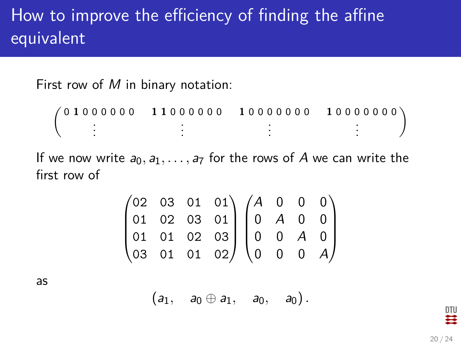## How to improve the efficiency of finding the affine equivalent

First row of  $M$  in binary notation:

 $\left( \begin{array}{c} 0 & 1 & 0 & 0 & 0 & 0 & 0 \\ & & \vdots & & \end{array} \right)$ **1 1** 0 0 0 0 0 0 . . . **1** 0 0 0 0 0 0 0 . . . **1** 0 0 0 0 0 0 0 . . .  $\setminus$ 

If we now write  $a_0, a_1, \ldots, a_7$  for the rows of A we can write the first row of

$$
\begin{pmatrix}\n02 & 03 & 01 & 01 \\
01 & 02 & 03 & 01 \\
01 & 01 & 02 & 03 \\
03 & 01 & 01 & 02\n\end{pmatrix}\n\begin{pmatrix}\nA & 0 & 0 & 0 \\
0 & A & 0 & 0 \\
0 & 0 & A & 0 \\
0 & 0 & 0 & A\n\end{pmatrix}
$$

as

 $(a_1, a_0 \oplus a_1, a_0, a_0)$ .

DTU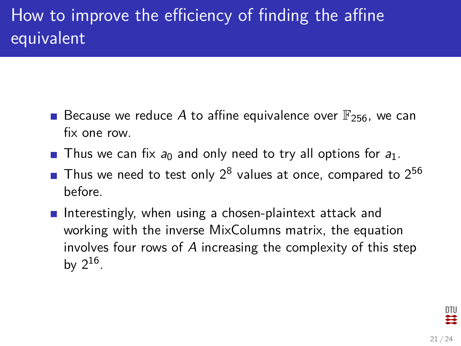## How to improve the efficiency of finding the affine equivalent

- **Because we reduce A to affine equivalence over**  $\mathbb{F}_{256}$ **, we can** fix one row.
- **Thus we can fix**  $a_0$  **and only need to try all options for**  $a_1$ **.**
- Thus we need to test only  $2^8$  values at once, compared to  $2^{56}$ before.
- Interestingly, when using a chosen-plaintext attack and working with the inverse MixColumns matrix, the equation involves four rows of A increasing the complexity of this step by  $2^{16}$ .

DTU ₩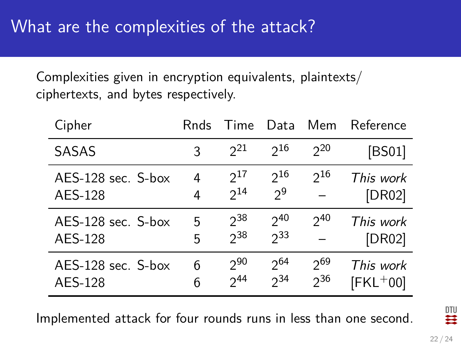Complexities given in encryption equivalents, plaintexts/ ciphertexts, and bytes respectively.

| Cipher             | Rnds | Time     | Data     | Mem      | Reference  |
|--------------------|------|----------|----------|----------|------------|
| SASAS              | २    | $2^{21}$ | 216      | $2^{20}$ | [BS01]     |
| AES-128 sec. S-box | 4    | $2^{17}$ | $2^{16}$ | $2^{16}$ | This work  |
| AES-128            | 4    | $2^{14}$ | $2^9$    |          | [DR02]     |
| AES-128 sec. S-box | 5    | $2^{38}$ | 240      | $2^{40}$ | This work  |
| AES-128            | 5    | $2^{38}$ | $2^{33}$ |          | [DR02]     |
| AES-128 sec. S-box | 6    | $2^{90}$ | $2^{64}$ | $2^{69}$ | This work  |
| AES-128            | 6    | 244      | $2^{34}$ | $2^{36}$ | $[FKL+00]$ |

Implemented attack for four rounds runs in less than one second.

DTU Ħ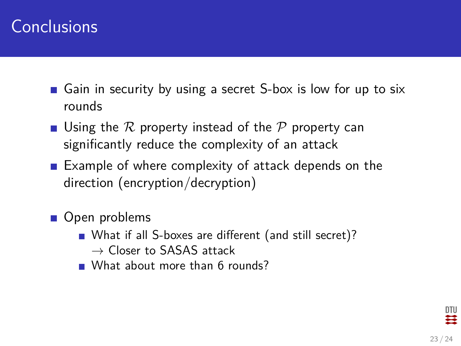### **Conclusions**

- Gain in security by using a secret S-box is low for up to six rounds
- **Using the R property instead of the P property can** significantly reduce the complexity of an attack
- Example of where complexity of attack depends on the direction (encryption/decryption)
- Open problems
	- What if all S-boxes are different (and still secret)?  $\rightarrow$  Closer to SASAS attack
	- What about more than 6 rounds?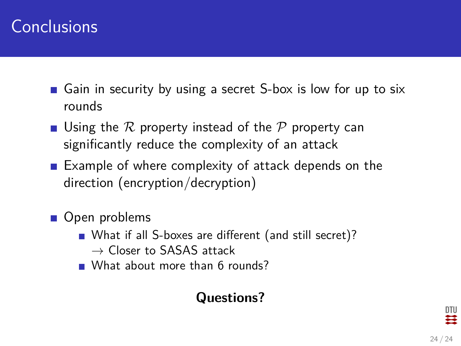### **Conclusions**

- Gain in security by using a secret S-box is low for up to six rounds
- **Using the R property instead of the P property can** significantly reduce the complexity of an attack
- Example of where complexity of attack depends on the direction (encryption/decryption)
- Open problems
	- What if all S-boxes are different (and still secret)?  $\rightarrow$  Closer to SASAS attack
	- What about more than 6 rounds?

### **Questions?**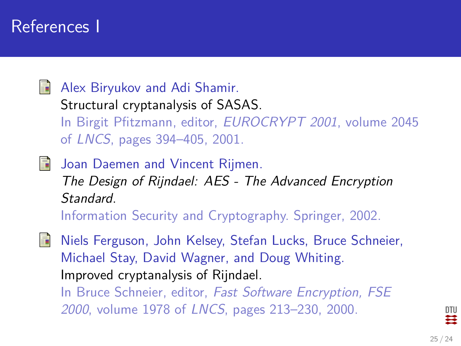### References I

<span id="page-24-0"></span>量 Alex Biryukov and Adi Shamir.

> Structural cryptanalysis of SASAS. In Birgit Pfitzmann, editor, EUROCRYPT 2001, volume 2045 of LNCS, pages 394–405, 2001.

<span id="page-24-1"></span>**Joan Daemen and Vincent Rijmen.** The Design of Rijndael: AES - The Advanced Encryption Standard. Information Security and Cryptography. Springer, 2002.

<span id="page-24-2"></span>螶 Niels Ferguson, John Kelsey, Stefan Lucks, Bruce Schneier, Michael Stay, David Wagner, and Doug Whiting. Improved cryptanalysis of Rijndael. In Bruce Schneier, editor, Fast Software Encryption, FSE 2000, volume 1978 of LNCS, pages 213–230, 2000.

DTU ≈